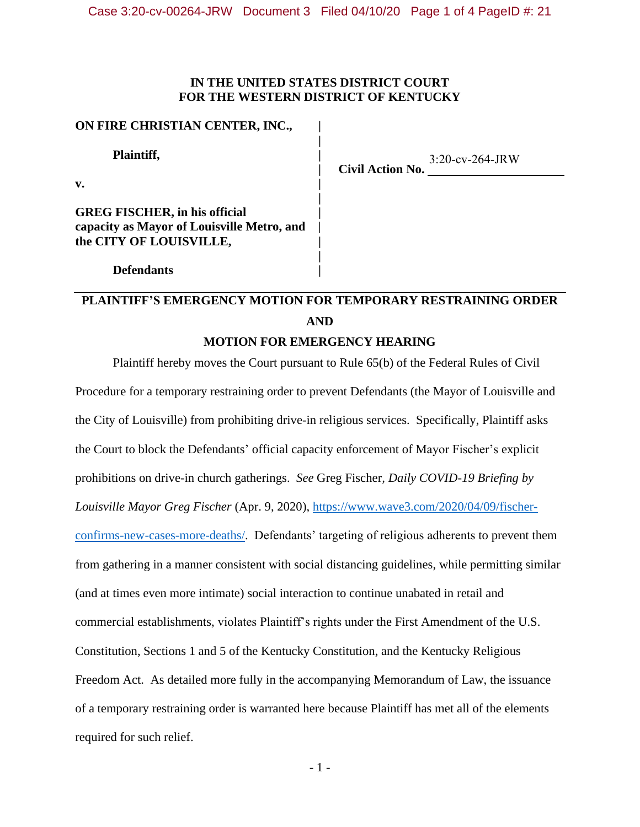### **IN THE UNITED STATES DISTRICT COURT FOR THE WESTERN DISTRICT OF KENTUCKY**

**|**

**|**

**|**

## **ON FIRE CHRISTIAN CENTER, INC., |**

**Plaintiff, |**

**Defendants |**

**v. |**

**GREG FISCHER, in his official | capacity as Mayor of Louisville Metro, and | the CITY OF LOUISVILLE, |**

**| Civil Action No.**  3:20-cv-264-JRW

# **PLAINTIFF'S EMERGENCY MOTION FOR TEMPORARY RESTRAINING ORDER AND**

# **MOTION FOR EMERGENCY HEARING**

Plaintiff hereby moves the Court pursuant to Rule 65(b) of the Federal Rules of Civil Procedure for a temporary restraining order to prevent Defendants (the Mayor of Louisville and the City of Louisville) from prohibiting drive-in religious services. Specifically, Plaintiff asks the Court to block the Defendants' official capacity enforcement of Mayor Fischer's explicit prohibitions on drive-in church gatherings. *See* Greg Fischer*, Daily COVID-19 Briefing by Louisville Mayor Greg Fischer* (Apr. 9, 2020), [https://www.wave3.com/2020/04/09/fischer](https://www.wave3.com/2020/04/09/fischer-confirms-new-cases-more-deaths/)[confirms-new-cases-more-deaths/.](https://www.wave3.com/2020/04/09/fischer-confirms-new-cases-more-deaths/) Defendants' targeting of religious adherents to prevent them from gathering in a manner consistent with social distancing guidelines, while permitting similar (and at times even more intimate) social interaction to continue unabated in retail and commercial establishments, violates Plaintiff's rights under the First Amendment of the U.S. Constitution, Sections 1 and 5 of the Kentucky Constitution, and the Kentucky Religious Freedom Act. As detailed more fully in the accompanying Memorandum of Law, the issuance of a temporary restraining order is warranted here because Plaintiff has met all of the elements required for such relief.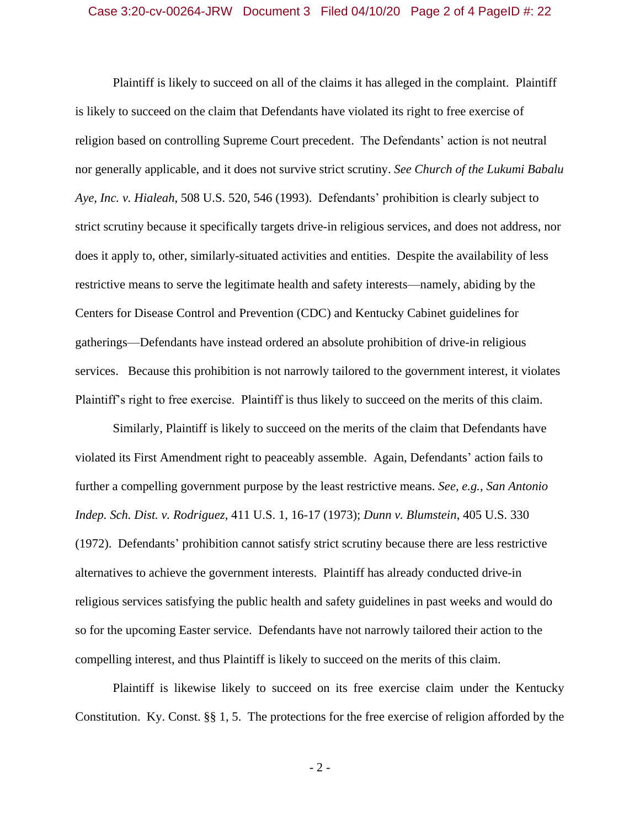#### Case 3:20-cv-00264-JRW Document 3 Filed 04/10/20 Page 2 of 4 PageID #: 22

Plaintiff is likely to succeed on all of the claims it has alleged in the complaint. Plaintiff is likely to succeed on the claim that Defendants have violated its right to free exercise of religion based on controlling Supreme Court precedent. The Defendants' action is not neutral nor generally applicable, and it does not survive strict scrutiny. *See Church of the Lukumi Babalu Aye, Inc. v. Hialeah*, 508 U.S. 520, 546 (1993). Defendants' prohibition is clearly subject to strict scrutiny because it specifically targets drive-in religious services, and does not address, nor does it apply to, other, similarly-situated activities and entities. Despite the availability of less restrictive means to serve the legitimate health and safety interests—namely, abiding by the Centers for Disease Control and Prevention (CDC) and Kentucky Cabinet guidelines for gatherings—Defendants have instead ordered an absolute prohibition of drive-in religious services. Because this prohibition is not narrowly tailored to the government interest, it violates Plaintiff's right to free exercise. Plaintiff is thus likely to succeed on the merits of this claim.

Similarly, Plaintiff is likely to succeed on the merits of the claim that Defendants have violated its First Amendment right to peaceably assemble. Again, Defendants' action fails to further a compelling government purpose by the least restrictive means. *See, e.g.*, *San Antonio Indep. Sch. Dist. v. Rodriguez*, 411 U.S. 1, 16-17 (1973); *Dunn v. Blumstein*, 405 U.S. 330 (1972). Defendants' prohibition cannot satisfy strict scrutiny because there are less restrictive alternatives to achieve the government interests. Plaintiff has already conducted drive-in religious services satisfying the public health and safety guidelines in past weeks and would do so for the upcoming Easter service. Defendants have not narrowly tailored their action to the compelling interest, and thus Plaintiff is likely to succeed on the merits of this claim.

Plaintiff is likewise likely to succeed on its free exercise claim under the Kentucky Constitution. Ky. Const. §§ 1, 5. The protections for the free exercise of religion afforded by the

- 2 -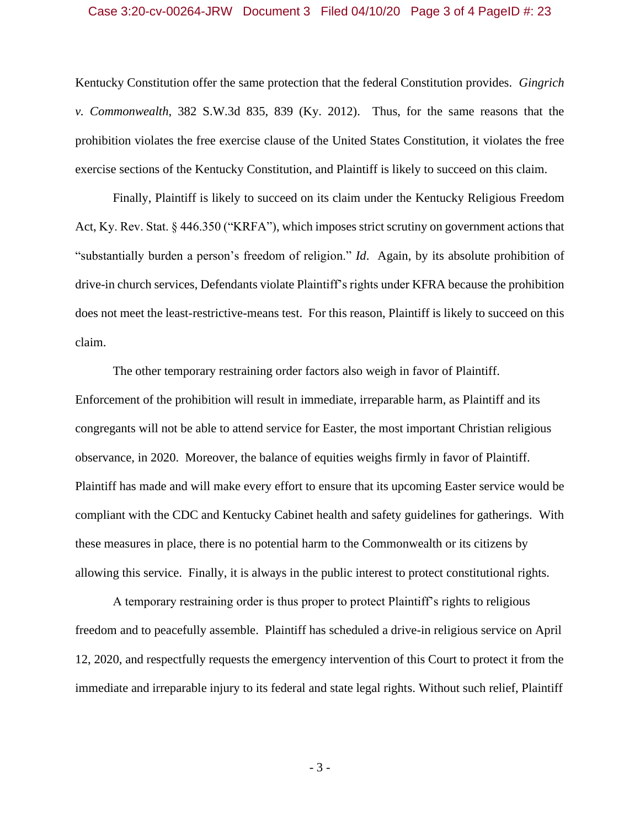### Case 3:20-cv-00264-JRW Document 3 Filed 04/10/20 Page 3 of 4 PageID #: 23

Kentucky Constitution offer the same protection that the federal Constitution provides. *Gingrich v. Commonwealth*, 382 S.W.3d 835, 839 (Ky. 2012). Thus, for the same reasons that the prohibition violates the free exercise clause of the United States Constitution, it violates the free exercise sections of the Kentucky Constitution, and Plaintiff is likely to succeed on this claim.

Finally, Plaintiff is likely to succeed on its claim under the Kentucky Religious Freedom Act, Ky. Rev. Stat. § 446.350 ("KRFA"), which imposes strict scrutiny on government actions that "substantially burden a person's freedom of religion." *Id*. Again, by its absolute prohibition of drive-in church services, Defendants violate Plaintiff's rights under KFRA because the prohibition does not meet the least-restrictive-means test. For this reason, Plaintiff is likely to succeed on this claim.

The other temporary restraining order factors also weigh in favor of Plaintiff. Enforcement of the prohibition will result in immediate, irreparable harm, as Plaintiff and its congregants will not be able to attend service for Easter, the most important Christian religious observance, in 2020. Moreover, the balance of equities weighs firmly in favor of Plaintiff. Plaintiff has made and will make every effort to ensure that its upcoming Easter service would be compliant with the CDC and Kentucky Cabinet health and safety guidelines for gatherings. With these measures in place, there is no potential harm to the Commonwealth or its citizens by allowing this service. Finally, it is always in the public interest to protect constitutional rights.

A temporary restraining order is thus proper to protect Plaintiff's rights to religious freedom and to peacefully assemble. Plaintiff has scheduled a drive-in religious service on April 12, 2020, and respectfully requests the emergency intervention of this Court to protect it from the immediate and irreparable injury to its federal and state legal rights. Without such relief, Plaintiff

- 3 -